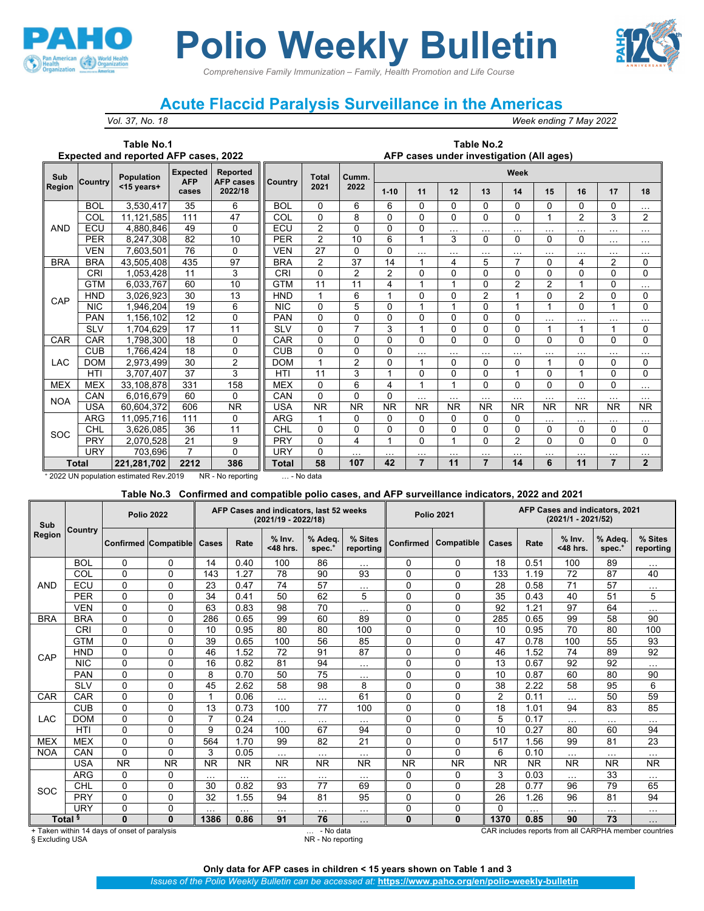

# *Comprehensive Family Immunization – Family, Health Promotion and Life Course* **Polio Weekly Bulletin**

## **Acute Flaccid Paralysis Surveillance in the Americas**

*Vol. 37, No. 18 Week ending 7 May 2022*

#### **Table No.1 Expected and reported AFP cases, 2022**

#### **Table No.2 AFP cases under investigation (All ages)**

| Sub        | <b>Country</b> | <b>Population</b> | <b>Expected</b><br><b>AFP</b> | <b>Reported</b><br><b>AFP</b> cases | <b>Country</b> | <b>Total</b>   | Cumm.          | Week      |                |              |                |                |                |                |                |                |
|------------|----------------|-------------------|-------------------------------|-------------------------------------|----------------|----------------|----------------|-----------|----------------|--------------|----------------|----------------|----------------|----------------|----------------|----------------|
| Region     |                | $<$ 15 years+     |                               | 2022/18                             |                | 2021           | 2022           | $1 - 10$  | 11             | 12           | 13             | 14             | 15             | 16             | 17             | 18             |
|            | <b>BOL</b>     | 3,530,417         | 35                            | 6                                   | <b>BOL</b>     | $\Omega$       | 6              | 6         | 0              | $\Omega$     | $\Omega$       | 0              | $\Omega$       | 0              | 0              | $\cdots$       |
|            | COL            | 11,121,585        | 111                           | 47                                  | COL            | 0              | 8              | 0         | $\Omega$       | $\Omega$     | $\Omega$       | 0              | 1              | 2              | 3              | 2              |
| <b>AND</b> | ECU            | 4.880.846         | 49                            | $\Omega$                            | ECU            | $\overline{2}$ | 0              | 0         | $\mathbf{0}$   | $\cdots$     | $\sim$ $\sim$  | $\cdots$       | $\cdots$       | $\cdots$       | $\cdots$       | $\cdots$       |
|            | <b>PER</b>     | 8.247.308         | 82                            | 10                                  | <b>PER</b>     | $\overline{2}$ | 10             | 6         |                | 3            | $\Omega$       | 0              | $\Omega$       | 0              | $\cdots$       | $\cdots$       |
|            | <b>VEN</b>     | 7,603,501         | 76                            | $\Omega$                            | <b>VEN</b>     | 27             | 0              | 0         | $\cdots$       | $\cdots$     | $\cdots$       | $\cdots$       | $\cdots$       | $\cdots$       | $\cdots$       | $\cdots$       |
| <b>BRA</b> | <b>BRA</b>     | 43,505,408        | 435                           | 97                                  | <b>BRA</b>     | $\overline{2}$ | 37             | 14        |                | 4            | 5              | 7              | $\Omega$       | 4              | 2              | 0              |
|            | CRI            | 1,053,428         | 11                            | 3                                   | <b>CRI</b>     | $\mathbf 0$    | 2              | 2         | $\Omega$       | 0            | 0              | $\mathbf{0}$   | $\Omega$       | 0              | $\Omega$       | 0              |
|            | <b>GTM</b>     | 6,033,767         | 60                            | 10                                  | <b>GTM</b>     | 11             | 11             | 4         |                |              | $\mathbf{0}$   | $\overline{2}$ | $\overline{2}$ |                | $\Omega$       | $\cdots$       |
| CAP        | <b>HND</b>     | 3,026,923         | 30                            | 13                                  | <b>HND</b>     | 1              | 6              |           | 0              | 0            | $\overline{2}$ | $\overline{ }$ | $\Omega$       | $\overline{2}$ | $\Omega$       | $\mathbf{0}$   |
|            | <b>NIC</b>     | 1,946,204         | 19                            | 6                                   | <b>NIC</b>     | 0              | 5              | 0         |                |              | $\mathbf{0}$   |                | 1              | 0              |                | $\Omega$       |
|            | <b>PAN</b>     | 1,156,102         | 12                            | $\mathbf{0}$                        | <b>PAN</b>     | $\mathbf 0$    | 0              | 0         | 0              | $\mathbf{0}$ | $\mathbf{0}$   | $\mathbf{0}$   | $\cdots$       | $\cdots$       | $\cdots$       | $\cdots$       |
|            | <b>SLV</b>     | 1,704,629         | 17                            | 11                                  | <b>SLV</b>     | $\Omega$       | $\overline{7}$ | 3         |                | $\Omega$     | $\Omega$       | $\Omega$       | 1              | 1              |                | $\mathbf{0}$   |
| CAR        | CAR            | 1,798,300         | 18                            | $\mathbf 0$                         | CAR            | $\Omega$       | 0              | 0         | $\Omega$       | 0            | $\Omega$       | $\Omega$       | $\Omega$       | 0              | 0              | 0              |
|            | <b>CUB</b>     | 1,766,424         | 18                            | 0                                   | <b>CUB</b>     | $\mathbf 0$    | 0              | 0         | $\cdots$       | $\cdots$     | $\sim$ $\sim$  | $\cdots$       | $\cdots$       | $\cdots$       | $\cdots$       | $\cdots$       |
| <b>LAC</b> | <b>DOM</b>     | 2,973,499         | 30                            | $\overline{2}$                      | <b>DOM</b>     | 1              | $\overline{2}$ | 0         |                | $\Omega$     | $\Omega$       | $\mathbf{0}$   | $\mathbf{1}$   | 0              | 0              | $\mathbf{0}$   |
|            | HTI            | 3,707,407         | 37                            | 3                                   | <b>HTI</b>     | 11             | 3              | 4         | $\Omega$       | 0            | $\Omega$       | 1              | $\Omega$       | 1              | $\Omega$       | $\Omega$       |
| <b>MEX</b> | <b>MEX</b>     | 33,108,878        | 331                           | 158                                 | <b>MEX</b>     | $\Omega$       | 6              | 4         |                |              | $\Omega$       | $\Omega$       | $\Omega$       | 0              | $\Omega$       | $\cdots$       |
| <b>NOA</b> | CAN            | 6.016.679         | 60                            | $\Omega$                            | CAN            | $\Omega$       | $\mathbf 0$    | 0         | $\cdots$       | $\cdots$     | $\cdots$       | $\cdots$       | $\cdots$       | $\cdots$       | $\cdots$       | $\cdots$       |
|            | <b>USA</b>     | 60,604,372        | 606                           | <b>NR</b>                           | USA            | <b>NR</b>      | <b>NR</b>      | <b>NR</b> | <b>NR</b>      | <b>NR</b>    | <b>NR</b>      | <b>NR</b>      | <b>NR</b>      | <b>NR</b>      | <b>NR</b>      | NR.            |
|            | <b>ARG</b>     | 11,095,716        | 111                           | $\Omega$                            | ARG            |                | 0              | 0         | 0              | 0            | $\Omega$       | 0              | $\cdots$       | $\cdots$       | $\cdots$       | $\cdots$       |
| SOC        | <b>CHL</b>     | 3.626.085         | 36                            | 11                                  | CHL            | $\Omega$       | $\mathbf 0$    | 0         | $\Omega$       | $\mathbf{0}$ | $\mathbf{0}$   | $\mathbf{0}$   | $\Omega$       | 0              | $\Omega$       | $\mathbf{0}$   |
|            | <b>PRY</b>     | 2,070,528         | 21                            | 9                                   | PRY            | $\Omega$       | 4              |           | $\Omega$       | и            | $\Omega$       | $\overline{2}$ | $\Omega$       | $\Omega$       | $\Omega$       | $\Omega$       |
|            | URY            | 703,696           | $\overline{7}$                | $\mathbf{0}$                        | <b>URY</b>     | 0              | .              | .         | $\cdots$       | $\cdots$     | .              | $\cdots$       | .              | $\cdots$       | .              | $\cdots$       |
|            | Total          | 221,281,702       | 2212                          | 386                                 | Total          | 58             | 107            | 42        | $\overline{7}$ | 11           | $\overline{7}$ | 14             | 6              | 11             | $\overline{7}$ | $\overline{2}$ |

<sup>+</sup> 2022 UN population estimated Rev.2019 NR - No reporting … - No data

### **Table No.3 Confirmed and compatible polio cases, and AFP surveillance indicators, 2022 and 2021**

| Sub<br>Region   |                    |                                              | <b>Polio 2022</b>           |                |           | AFP Cases and indicators, last 52 weeks<br>(2021/19 - 2022/18) |                                |                      |              | <b>Polio 2021</b> | AFP Cases and indicators, 2021<br>$(2021/1 - 2021/52)$ |                  |                      |                     |                                                       |  |  |
|-----------------|--------------------|----------------------------------------------|-----------------------------|----------------|-----------|----------------------------------------------------------------|--------------------------------|----------------------|--------------|-------------------|--------------------------------------------------------|------------------|----------------------|---------------------|-------------------------------------------------------|--|--|
|                 | Country            |                                              | <b>Confirmed Compatible</b> | Cases          | Rate      | $%$ Inv.<br>$<$ 48 hrs.                                        | % Adea.<br>$spec.*$            | % Sites<br>reporting | Confirmed    | Compatible        | Cases                                                  | Rate             | $%$ Inv.<br><48 hrs. | % Adea.<br>$spec.*$ | % Sites<br>reporting                                  |  |  |
|                 | <b>BOL</b>         | 0                                            | 0                           | 14             | 0.40      | 100                                                            | 86                             | $\cdots$             | 0            | 0                 | 18                                                     | 0.51             | 100                  | 89                  | $\cdots$                                              |  |  |
|                 | COL                | 0                                            | $\mathbf 0$                 | 143            | 1.27      | 78                                                             | 90                             | 93                   | 0            | 0                 | 133                                                    | 1.19             | 72                   | 87                  | 40                                                    |  |  |
| <b>AND</b>      | ECU                | $\Omega$                                     | $\Omega$                    | 23             | 0.47      | 74                                                             | 57                             | $\cdots$             | $\Omega$     | $\Omega$          | 28                                                     | 0.58             | 71                   | 57                  | $\cdots$                                              |  |  |
|                 | <b>PER</b>         | 0                                            | $\Omega$                    | 34             | 0.41      | 50                                                             | 62                             | 5                    | $\Omega$     | $\mathbf{0}$      | 35                                                     | 0.43             | 40                   | 51                  | 5                                                     |  |  |
|                 | <b>VEN</b>         | 0                                            | $\mathbf 0$                 | 63             | 0.83      | 98                                                             | 70                             | $\cdots$             | 0            | $\Omega$          | 92                                                     | 1.21             | 97                   | 64                  | $\cdots$                                              |  |  |
| <b>BRA</b>      | <b>BRA</b>         | $\Omega$                                     | $\mathbf 0$                 | 286            | 0.65      | 99                                                             | 60                             | 89                   | 0            | $\Omega$          | 285                                                    | 0.65             | 99                   | 58                  | 90                                                    |  |  |
| CAP             | CRI                | 0                                            | $\mathbf 0$                 | 10             | 0.95      | 80                                                             | 80                             | 100                  | 0            | $\Omega$          | 10                                                     | 0.95             | 70                   | 80                  | 100                                                   |  |  |
|                 | <b>GTM</b>         | 0                                            | $\mathbf 0$                 | 39             | 0.65      | 100                                                            | 56                             | 85                   | 0            | $\Omega$          | 47                                                     | 0.78             | 100                  | 55                  | 93                                                    |  |  |
|                 | <b>HND</b>         | 0                                            | 0                           | 46             | 1.52      | 72                                                             | 91                             | 87                   | 0            | $\mathbf{0}$      | 46                                                     | 1.52             | 74                   | 89                  | 92                                                    |  |  |
|                 | <b>NIC</b>         | $\Omega$                                     | $\mathbf 0$                 | 16             | 0.82      | 81                                                             | 94                             | $\cdots$             | $\Omega$     | $\Omega$          | 13                                                     | 0.67             | 92                   | 92                  | .                                                     |  |  |
|                 | <b>PAN</b>         | 0                                            | $\mathbf 0$                 | 8              | 0.70      | 50                                                             | $\overline{75}$                | $\cdots$             | 0            | $\mathbf{0}$      | 10                                                     | 0.87             | 60                   | 80                  | 90                                                    |  |  |
|                 | <b>SLV</b>         | $\Omega$                                     | $\mathbf 0$                 | 45             | 2.62      | 58                                                             | 98                             | 8                    | $\Omega$     | $\Omega$          | 38                                                     | 2.22             | 58                   | 95                  | 6                                                     |  |  |
| <b>CAR</b>      | CAR                | 0                                            | 0                           | 1              | 0.06      | $\cdots$                                                       | $\cdots$                       | 61                   | 0            | 0                 | $\overline{2}$                                         | 0.11             | $\cdots$             | 50                  | 59                                                    |  |  |
|                 | <b>CUB</b>         | $\Omega$                                     | $\mathbf 0$                 | 13             | 0.73      | 100                                                            | 77                             | 100                  | 0            | $\Omega$          | 18                                                     | 1.01             | 94                   | 83                  | 85                                                    |  |  |
| <b>LAC</b>      | <b>DOM</b>         | $\Omega$                                     | $\mathbf 0$                 | $\overline{7}$ | 0.24      | $\cdots$                                                       | $\cdots$                       | $\cdots$             | $\Omega$     | $\Omega$          | 5                                                      | 0.17             | $\cdots$             | $\cdots$            | $\cdots$                                              |  |  |
|                 | <b>HTI</b>         | 0                                            | 0                           | 9              | 0.24      | 100                                                            | 67                             | 94                   | $\Omega$     | $\mathbf{0}$      | 10                                                     | 0.27             | 80                   | 60                  | 94                                                    |  |  |
| <b>MEX</b>      | <b>MEX</b>         | 0                                            | $\Omega$                    | 564            | 1.70      | 99                                                             | 82                             | 21                   | $\Omega$     | $\mathbf{0}$      | 517                                                    | 1.56             | 99                   | 81                  | 23                                                    |  |  |
| <b>NOA</b>      | CAN                | 0                                            | $\Omega$                    | 3              | 0.05      | $\cdots$                                                       | $\cdots$                       | $\cdots$             | 0            | $\mathbf{0}$      | 6                                                      | 0.10             | $\cdots$             | $\cdots$            | .                                                     |  |  |
|                 | <b>USA</b>         | <b>NR</b>                                    | <b>NR</b>                   | <b>NR</b>      | <b>NR</b> | <b>NR</b>                                                      | <b>NR</b>                      | <b>NR</b>            | <b>NR</b>    | <b>NR</b>         | <b>NR</b>                                              | <b>NR</b>        | <b>NR</b>            | <b>NR</b>           | <b>NR</b>                                             |  |  |
|                 | <b>ARG</b>         | 0                                            | 0                           | $\cdots$       | $\cdots$  | $\cdots$                                                       | $\cdots$                       | $\cdots$             | 0            | 0                 | 3                                                      | 0.03             | $\cdots$             | 33                  | $\cdots$                                              |  |  |
| SOC             | CHL                | 0                                            | $\mathbf 0$                 | 30             | 0.82      | 93                                                             | 77                             | 69                   | 0            | $\Omega$          | 28                                                     | 0.77             | 96                   | 79                  | 65                                                    |  |  |
|                 | <b>PRY</b>         | 0                                            | $\Omega$                    | 32             | 1.55      | 94                                                             | 81                             | 95                   | 0            | $\mathbf{0}$      | 26                                                     | 1.26             | 96                   | 81                  | 94                                                    |  |  |
|                 | <b>URY</b>         | 0                                            | $\mathbf 0$                 |                |           | $\cdots$                                                       | $\cdots$                       | $\cdots$             | 0            | 0                 | 0                                                      | .                | $\cdots$             | .                   | .                                                     |  |  |
|                 | Total <sup>§</sup> | $\bf{0}$                                     | $\bf{0}$                    | 1386           | 0.86      | 91                                                             | 76                             | $\sim$ $\sim$ $\sim$ | $\mathbf{0}$ | $\bf{0}$          | 1370                                                   | 0.85<br>90<br>73 |                      |                     |                                                       |  |  |
| § Excluding USA |                    | + Taken within 14 days of onset of paralysis |                             |                |           |                                                                | - No data<br>NR - No reporting |                      |              |                   |                                                        |                  |                      |                     | CAR includes reports from all CARPHA member countries |  |  |

**Only data for AFP cases in children < 15 years shown on Table 1 and 3**